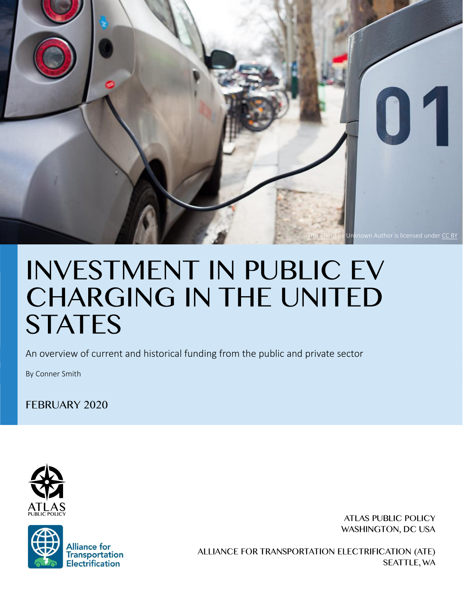

An overview of current and historical funding from the public and private sector

By Conner Smith

**FEBRUARY 2020** 





**ATLAS PUBLIC POLICY** WASHINGTON, DC USA

ALLIANCE FOR TRANSPORTATION ELECTRIFICATION (ATE) **SEATTLE, WA**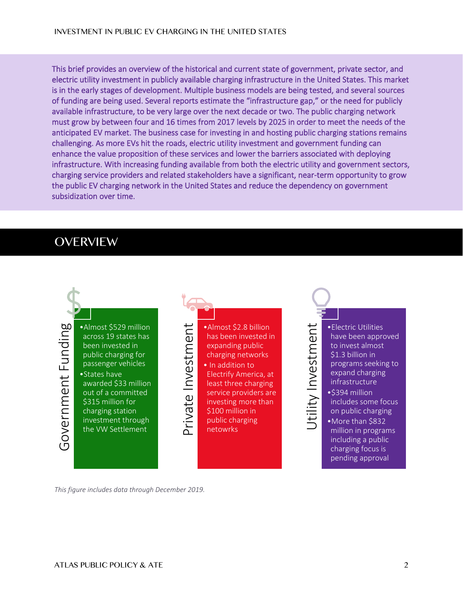This brief provides an overview of the historical and current state of government, private sector, and electric utility investment in publicly available charging infrastructure in the United States. This market is in the early stages of development. Multiple business models are being tested, and several sources of funding are being used. Several reports estimate the "infrastructure gap," or the need for publicly available infrastructure, to be very large over the next decade or two. The public charging network must grow by between four and 16 times from 2017 levels by 2025 in order to meet the needs of the anticipated EV market. The business case for investing in and hosting public charging stations remains challenging. As more EVs hit the roads, electric utility investment and government funding can enhance the value proposition of these services and lower the barriers associated with deploying infrastructure. With increasing funding available from both the electric utility and government sectors, charging service providers and related stakeholders have a significant, near-term opportunity to grow the public EV charging network in the United States and reduce the dependency on government subsidization over time.

# **OVERVIEW**

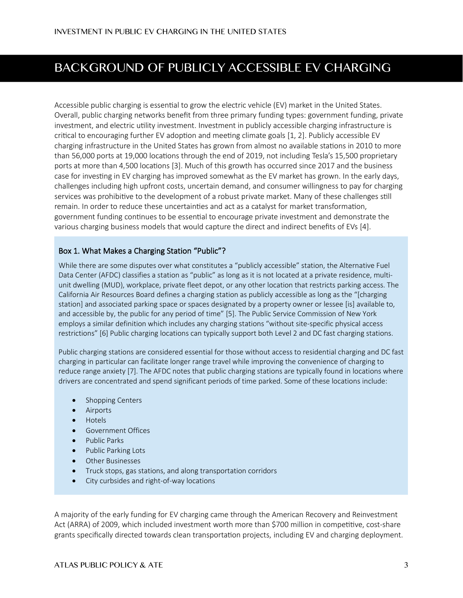# BACKGROUND OF PUBLICLY ACCESSIBLE EV CHARGING

Accessible public charging is essential to grow the electric vehicle (EV) market in the United States. Overall, public charging networks benefit from three primary funding types: government funding, private investment, and electric utility investment. Investment in publicly accessible charging infrastructure is critical to encouraging further EV adoption and meeting climate goals [1, 2]. Publicly accessible EV charging infrastructure in the United States has grown from almost no available stations in 2010 to more than 56,000 ports at 19,000 locations through the end of 2019, not including Tesla's 15,500 proprietary ports at more than 4,500 locations [3]. Much of this growth has occurred since 2017 and the business case for investing in EV charging has improved somewhat as the EV market has grown. In the early days, challenges including high upfront costs, uncertain demand, and consumer willingness to pay for charging services was prohibitive to the development of a robust private market. Many of these challenges still remain. In order to reduce these uncertainties and act as a catalyst for market transformation, government funding continues to be essential to encourage private investment and demonstrate the various charging business models that would capture the direct and indirect benefits of EVs [4].

### Box 1. What Makes a Charging Station "Public"?

While there are some disputes over what constitutes a "publicly accessible" station, the Alternative Fuel Data Center (AFDC) classifies a station as "public" as long as it is not located at a private residence, multiunit dwelling (MUD), workplace, private fleet depot, or any other location that restricts parking access. The California Air Resources Board defines a charging station as publicly accessible as long as the "[charging station] and associated parking space or spaces designated by a property owner or lessee [is] available to, and accessible by, the public for any period of time" [5]. The Public Service Commission of New York employs a similar definition which includes any charging stations "without site-specific physical access restrictions" [6] Public charging locations can typically support both Level 2 and DC fast charging stations.

Public charging stations are considered essential for those without access to residential charging and DC fast charging in particular can facilitate longer range travel while improving the convenience of charging to reduce range anxiety [7]. The AFDC notes that public charging stations are typically found in locations where drivers are concentrated and spend significant periods of time parked. Some of these locations include:

- Shopping Centers
- Airports
- Hotels
- Government Offices
- Public Parks
- Public Parking Lots
- Other Businesses
- Truck stops, gas stations, and along transportation corridors
- City curbsides and right-of-way locations

A majority of the early funding for EV charging came through the American Recovery and Reinvestment Act (ARRA) of 2009, which included investment worth more than \$700 million in competitive, cost-share grants specifically directed towards clean transportation projects, including EV and charging deployment.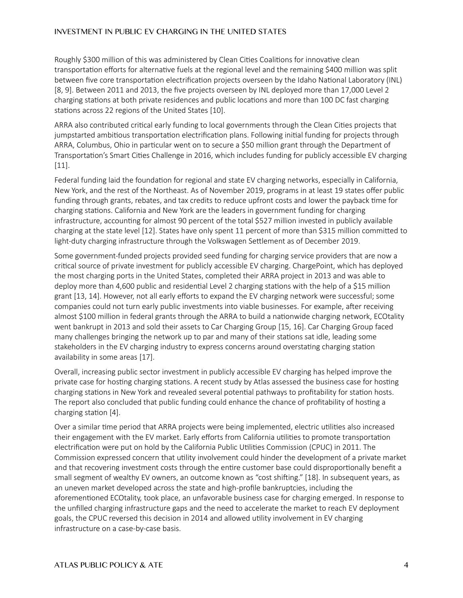Roughly \$300 million of this was administered by Clean Cities Coalitions for innovative clean transportation efforts for alternative fuels at the regional level and the remaining \$400 million was split between five core transportation electrification projects overseen by the Idaho National Laboratory (INL) [8, 9]. Between 2011 and 2013, the five projects overseen by INL deployed more than 17,000 Level 2 charging stations at both private residences and public locations and more than 100 DC fast charging stations across 22 regions of the United States [10].

ARRA also contributed critical early funding to local governments through the Clean Cities projects that jumpstarted ambitious transportation electrification plans. Following initial funding for projects through ARRA, Columbus, Ohio in particular went on to secure a \$50 million grant through the Department of Transportation's Smart Cities Challenge in 2016, which includes funding for publicly accessible EV charging [11].

Federal funding laid the foundation for regional and state EV charging networks, especially in California, New York, and the rest of the Northeast. As of November 2019, programs in at least 19 states offer public funding through grants, rebates, and tax credits to reduce upfront costs and lower the payback time for charging stations. California and New York are the leaders in government funding for charging infrastructure, accounting for almost 90 percent of the total \$527 million invested in publicly available charging at the state level [12]. States have only spent 11 percent of more than \$315 million committed to light-duty charging infrastructure through the Volkswagen Settlement as of December 2019.

Some government-funded projects provided seed funding for charging service providers that are now a critical source of private investment for publicly accessible EV charging. ChargePoint, which has deployed the most charging ports in the United States, completed their ARRA project in 2013 and was able to deploy more than 4,600 public and residential Level 2 charging stations with the help of a \$15 million grant [13, 14]. However, not all early efforts to expand the EV charging network were successful; some companies could not turn early public investments into viable businesses. For example, after receiving almost \$100 million in federal grants through the ARRA to build a nationwide charging network, ECOtality went bankrupt in 2013 and sold their assets to Car Charging Group [15, 16]. Car Charging Group faced many challenges bringing the network up to par and many of their stations sat idle, leading some stakeholders in the EV charging industry to express concerns around overstating charging station availability in some areas [17].

Overall, increasing public sector investment in publicly accessible EV charging has helped improve the private case for hosting charging stations. A recent study by Atlas assessed the business case for hosting charging stations in New York and revealed several potential pathways to profitability for station hosts. The report also concluded that public funding could enhance the chance of profitability of hosting a charging station [4].

Over a similar time period that ARRA projects were being implemented, electric utilities also increased their engagement with the EV market. Early efforts from California utilities to promote transportation electrification were put on hold by the California Public Utilities Commission (CPUC) in 2011. The Commission expressed concern that utility involvement could hinder the development of a private market and that recovering investment costs through the entire customer base could disproportionally benefit a small segment of wealthy EV owners, an outcome known as "cost shifting." [18]. In subsequent years, as an uneven market developed across the state and high-profile bankruptcies, including the aforementioned ECOtality, took place, an unfavorable business case for charging emerged. In response to the unfilled charging infrastructure gaps and the need to accelerate the market to reach EV deployment goals, the CPUC reversed this decision in 2014 and allowed utility involvement in EV charging infrastructure on a case-by-case basis.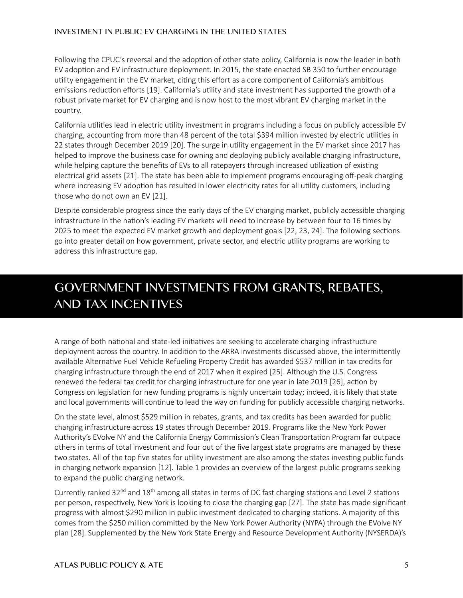Following the CPUC's reversal and the adoption of other state policy, California is now the leader in both EV adoption and EV infrastructure deployment. In 2015, the state enacted SB 350 to further encourage utility engagement in the EV market, citing this effort as a core component of California's ambitious emissions reduction efforts [19]. California's utility and state investment has supported the growth of a robust private market for EV charging and is now host to the most vibrant EV charging market in the country.

California utilities lead in electric utility investment in programs including a focus on publicly accessible EV charging, accounting from more than 48 percent of the total \$394 million invested by electric utilities in 22 states through December 2019 [20]. The surge in utility engagement in the EV market since 2017 has helped to improve the business case for owning and deploying publicly available charging infrastructure, while helping capture the benefits of EVs to all ratepayers through increased utilization of existing electrical grid assets [21]. The state has been able to implement programs encouraging off-peak charging where increasing EV adoption has resulted in lower electricity rates for all utility customers, including those who do not own an EV [21].

Despite considerable progress since the early days of the EV charging market, publicly accessible charging infrastructure in the nation's leading EV markets will need to increase by between four to 16 times by 2025 to meet the expected EV market growth and deployment goals [22, 23, 24]. The following sections go into greater detail on how government, private sector, and electric utility programs are working to address this infrastructure gap.

# GOVERNMENT INVESTMENTS FROM GRANTS, REBATES, **AND TAX INCENTIVES**

A range of both national and state-led initiatives are seeking to accelerate charging infrastructure deployment across the country. In addition to the ARRA investments discussed above, the intermittently available Alternative Fuel Vehicle Refueling Property Credit has awarded \$537 million in tax credits for charging infrastructure through the end of 2017 when it expired [25]. Although the U.S. Congress renewed the federal tax credit for charging infrastructure for one year in late 2019 [26], action by Congress on legislation for new funding programs is highly uncertain today; indeed, it is likely that state and local governments will continue to lead the way on funding for publicly accessible charging networks.

On the state level, almost \$529 million in rebates, grants, and tax credits has been awarded for public charging infrastructure across 19 states through December 2019. Programs like the New York Power Authority's EVolve NY and the California Energy Commission's Clean Transportation Program far outpace others in terms of total investment and four out of the five largest state programs are managed by these two states. All of the top five states for utility investment are also among the states investing public funds in charging network expansion [12]. [Table 1](#page-5-0) provides an overview of the largest public programs seeking to expand the public charging network.

Currently ranked  $32^{nd}$  and  $18^{th}$  among all states in terms of DC fast charging stations and Level 2 stations per person, respectively, New York is looking to close the charging gap [27]. The state has made significant progress with almost \$290 million in public investment dedicated to charging stations. A majority of this comes from the \$250 million committed by the New York Power Authority (NYPA) through the EVolve NY plan [28]. Supplemented by the New York State Energy and Resource Development Authority (NYSERDA)'s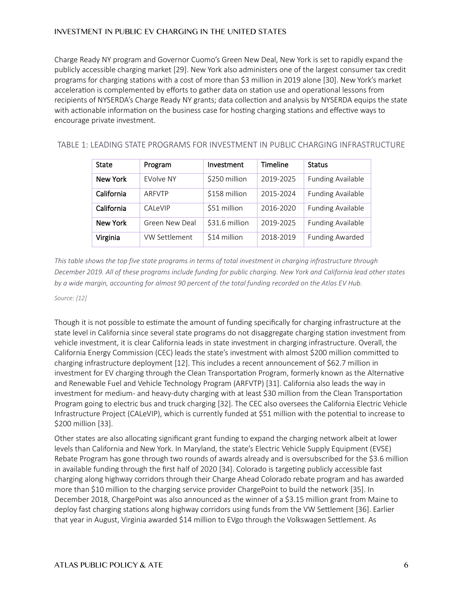Charge Ready NY program and Governor Cuomo's Green New Deal, New York is set to rapidly expand the publicly accessible charging market [29]. New York also administers one of the largest consumer tax credit programs for charging stations with a cost of more than \$3 million in 2019 alone [30]. New York's market acceleration is complemented by efforts to gather data on station use and operational lessons from recipients of NYSERDA's Charge Ready NY grants; data collection and analysis by NYSERDA equips the state with actionable information on the business case for hosting charging stations and effective ways to encourage private investment.

<span id="page-5-0"></span>

|  | TABLE 1: LEADING STATE PROGRAMS FOR INVESTMENT IN PUBLIC CHARGING INFRASTRUCTURE |
|--|----------------------------------------------------------------------------------|
|--|----------------------------------------------------------------------------------|

| State      | Program              | Investment     | <b>Timeline</b> | <b>Status</b>            |
|------------|----------------------|----------------|-----------------|--------------------------|
| New York   | EVolve NY            | \$250 million  | 2019-2025       | <b>Funding Available</b> |
| California | ARFVTP               | \$158 million  | 2015-2024       | <b>Funding Available</b> |
| California | CAL <sub>e</sub> VIP | \$51 million   | 2016-2020       | <b>Funding Available</b> |
| New York   | Green New Deal       | \$31.6 million | 2019-2025       | <b>Funding Available</b> |
| Virginia   | VW Settlement        | \$14 million   | 2018-2019       | <b>Funding Awarded</b>   |

*This table shows the top five state programs in terms of total investment in charging infrastructure through December 2019. All of these programs include funding for public charging. New York and California lead other states by a wide margin, accounting for almost 90 percent of the total funding recorded on the Atlas EV Hub.* 

#### *Source: [12]*

Though it is not possible to estimate the amount of funding specifically for charging infrastructure at the state level in California since several state programs do not disaggregate charging station investment from vehicle investment, it is clear California leads in state investment in charging infrastructure. Overall, the California Energy Commission (CEC) leads the state's investment with almost \$200 million committed to charging infrastructure deployment [12]. This includes a recent announcement of \$62.7 million in investment for EV charging through the Clean Transportation Program, formerly known as the Alternative and Renewable Fuel and Vehicle Technology Program (ARFVTP) [31]. California also leads the way in investment for medium- and heavy-duty charging with at least \$30 million from the Clean Transportation Program going to electric bus and truck charging [32]. The CEC also oversees the California Electric Vehicle Infrastructure Project (CALeVIP), which is currently funded at \$51 million with the potential to increase to \$200 million [33].

Other states are also allocating significant grant funding to expand the charging network albeit at lower levels than California and New York. In Maryland, the state's Electric Vehicle Supply Equipment (EVSE) Rebate Program has gone through two rounds of awards already and is oversubscribed for the \$3.6 million in available funding through the first half of 2020 [34]. Colorado is targeting publicly accessible fast charging along highway corridors through their Charge Ahead Colorado rebate program and has awarded more than \$10 million to the charging service provider ChargePoint to build the network [35]. In December 2018, ChargePoint was also announced as the winner of a \$3.15 million grant from Maine to deploy fast charging stations along highway corridors using funds from the VW Settlement [36]. Earlier that year in August, Virginia awarded \$14 million to EVgo through the Volkswagen Settlement. As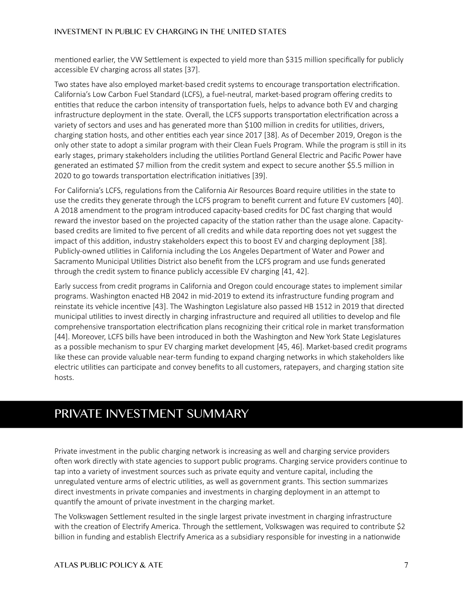mentioned earlier, the VW Settlement is expected to yield more than \$315 million specifically for publicly accessible EV charging across all states [37].

Two states have also employed market-based credit systems to encourage transportation electrification. California's Low Carbon Fuel Standard (LCFS), a fuel-neutral, market-based program offering credits to entities that reduce the carbon intensity of transportation fuels, helps to advance both EV and charging infrastructure deployment in the state. Overall, the LCFS supports transportation electrification across a variety of sectors and uses and has generated more than \$100 million in credits for utilities, drivers, charging station hosts, and other entities each year since 2017 [38]. As of December 2019, Oregon is the only other state to adopt a similar program with their Clean Fuels Program. While the program is still in its early stages, primary stakeholders including the utilities Portland General Electric and Pacific Power have generated an estimated \$7 million from the credit system and expect to secure another \$5.5 million in 2020 to go towards transportation electrification initiatives [39].

For California's LCFS, regulations from the California Air Resources Board require utilities in the state to use the credits they generate through the LCFS program to benefit current and future EV customers [40]. A 2018 amendment to the program introduced capacity-based credits for DC fast charging that would reward the investor based on the projected capacity of the station rather than the usage alone. Capacitybased credits are limited to five percent of all credits and while data reporting does not yet suggest the impact of this addition, industry stakeholders expect this to boost EV and charging deployment [38]. Publicly-owned utilities in California including the Los Angeles Department of Water and Power and Sacramento Municipal Utilities District also benefit from the LCFS program and use funds generated through the credit system to finance publicly accessible EV charging [41, 42].

Early success from credit programs in California and Oregon could encourage states to implement similar programs. Washington enacted HB 2042 in mid-2019 to extend its infrastructure funding program and reinstate its vehicle incentive [43]. The Washington Legislature also passed HB 1512 in 2019 that directed municipal utilities to invest directly in charging infrastructure and required all utilities to develop and file comprehensive transportation electrification plans recognizing their critical role in market transformation [44]. Moreover, LCFS bills have been introduced in both the Washington and New York State Legislatures as a possible mechanism to spur EV charging market development [45, 46]. Market-based credit programs like these can provide valuable near-term funding to expand charging networks in which stakeholders like electric utilities can participate and convey benefits to all customers, ratepayers, and charging station site hosts.

# PRIVATE INVESTMENT SUMMARY

Private investment in the public charging network is increasing as well and charging service providers often work directly with state agencies to support public programs. Charging service providers continue to tap into a variety of investment sources such as private equity and venture capital, including the unregulated venture arms of electric utilities, as well as government grants. This section summarizes direct investments in private companies and investments in charging deployment in an attempt to quantify the amount of private investment in the charging market.

The Volkswagen Settlement resulted in the single largest private investment in charging infrastructure with the creation of Electrify America. Through the settlement, Volkswagen was required to contribute \$2 billion in funding and establish Electrify America as a subsidiary responsible for investing in a nationwide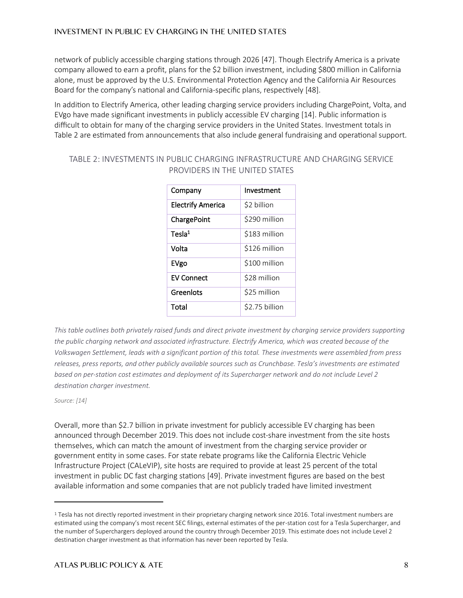network of publicly accessible charging stations through 2026 [47]. Though Electrify America is a private company allowed to earn a profit, plans for the \$2 billion investment, including \$800 million in California alone, must be approved by the U.S. Environmental Protection Agency and the California Air Resources Board for the company's national and California-specific plans, respectively [48].

In addition to Electrify America, other leading charging service providers including ChargePoint, Volta, and EVgo have made significant investments in publicly accessible EV charging [14]. Public information is difficult to obtain for many of the charging service providers in the United States. Investment totals in [Table 2](#page-7-0) are estimated from announcements that also include general fundraising and operational support.

| Company                  | Investment     |
|--------------------------|----------------|
| <b>Electrify America</b> | \$2 billion    |
| ChargePoint              | \$290 million  |
| Tesla <sup>1</sup>       | \$183 million  |
| Volta                    | \$126 million  |
| EVgo                     | \$100 million  |
| <b>EV Connect</b>        | \$28 million   |
| Greenlots                | \$25 million   |
| Total                    | \$2.75 billion |

## <span id="page-7-0"></span>TABLE 2: INVESTMENTS IN PUBLIC CHARGING INFRASTRUCTURE AND CHARGING SERVICE PROVIDERS IN THE UNITED STATES

*This table outlines both privately raised funds and direct private investment by charging service providers supporting the public charging network and associated infrastructure. Electrify America, which was created because of the Volkswagen Settlement, leads with a significant portion of this total. These investments were assembled from press releases, press reports, and other publicly available sources such as Crunchbase. Tesla's investments are estimated based on per-station cost estimates and deployment of its Supercharger network and do not include Level 2 destination charger investment.* 

*Source: [14]*

Overall, more than \$2.7 billion in private investment for publicly accessible EV charging has been announced through December 2019. This does not include cost-share investment from the site hosts themselves, which can match the amount of investment from the charging service provider or government entity in some cases. For state rebate programs like the California Electric Vehicle Infrastructure Project (CALeVIP), site hosts are required to provide at least 25 percent of the total investment in public DC fast charging stations [49]. Private investment figures are based on the best available information and some companies that are not publicly traded have limited investment

<sup>&</sup>lt;sup>1</sup> Tesla has not directly reported investment in their proprietary charging network since 2016. Total investment numbers are estimated using the company's most recent SEC filings, external estimates of the per-station cost for a Tesla Supercharger, and the number of Superchargers deployed around the country through December 2019. This estimate does not include Level 2 destination charger investment as that information has never been reported by Tesla.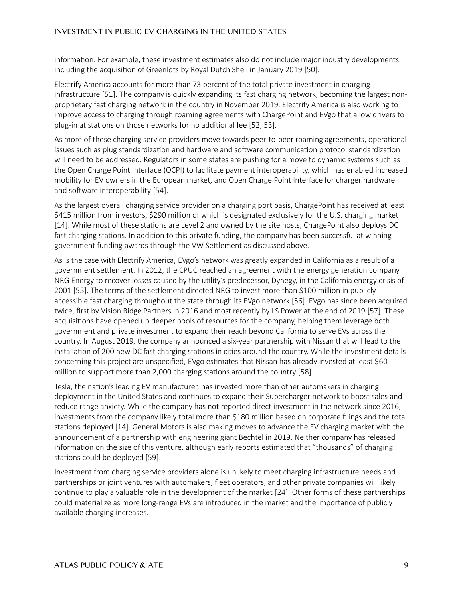information. For example, these investment estimates also do not include major industry developments including the acquisition of Greenlots by Royal Dutch Shell in January 2019 [50].

Electrify America accounts for more than 73 percent of the total private investment in charging infrastructure [51]. The company is quickly expanding its fast charging network, becoming the largest nonproprietary fast charging network in the country in November 2019. Electrify America is also working to improve access to charging through roaming agreements with ChargePoint and EVgo that allow drivers to plug-in at stations on those networks for no additional fee [52, 53].

As more of these charging service providers move towards peer-to-peer roaming agreements, operational issues such as plug standardization and hardware and software communication protocol standardization will need to be addressed. Regulators in some states are pushing for a move to dynamic systems such as the Open Charge Point Interface (OCPI) to facilitate payment interoperability, which has enabled increased mobility for EV owners in the European market, and Open Charge Point Interface for charger hardware and software interoperability [54].

As the largest overall charging service provider on a charging port basis, ChargePoint has received at least \$415 million from investors, \$290 million of which is designated exclusively for the U.S. charging market [14]. While most of these stations are Level 2 and owned by the site hosts, ChargePoint also deploys DC fast charging stations. In addition to this private funding, the company has been successful at winning government funding awards through the VW Settlement as discussed above.

As is the case with Electrify America, EVgo's network was greatly expanded in California as a result of a government settlement. In 2012, the CPUC reached an agreement with the energy generation company NRG Energy to recover losses caused by the utility's predecessor, Dynegy, in the California energy crisis of 2001 [55]. The terms of the settlement directed NRG to invest more than \$100 million in publicly accessible fast charging throughout the state through its EVgo network [56]. EVgo has since been acquired twice, first by Vision Ridge Partners in 2016 and most recently by LS Power at the end of 2019 [57]. These acquisitions have opened up deeper pools of resources for the company, helping them leverage both government and private investment to expand their reach beyond California to serve EVs across the country. In August 2019, the company announced a six-year partnership with Nissan that will lead to the installation of 200 new DC fast charging stations in cities around the country. While the investment details concerning this project are unspecified, EVgo estimates that Nissan has already invested at least \$60 million to support more than 2,000 charging stations around the country [58].

Tesla, the nation's leading EV manufacturer, has invested more than other automakers in charging deployment in the United States and continues to expand their Supercharger network to boost sales and reduce range anxiety. While the company has not reported direct investment in the network since 2016, investments from the company likely total more than \$180 million based on corporate filings and the total stations deployed [14]. General Motors is also making moves to advance the EV charging market with the announcement of a partnership with engineering giant Bechtel in 2019. Neither company has released information on the size of this venture, although early reports estimated that "thousands" of charging stations could be deployed [59].

Investment from charging service providers alone is unlikely to meet charging infrastructure needs and partnerships or joint ventures with automakers, fleet operators, and other private companies will likely continue to play a valuable role in the development of the market [24]. Other forms of these partnerships could materialize as more long-range EVs are introduced in the market and the importance of publicly available charging increases.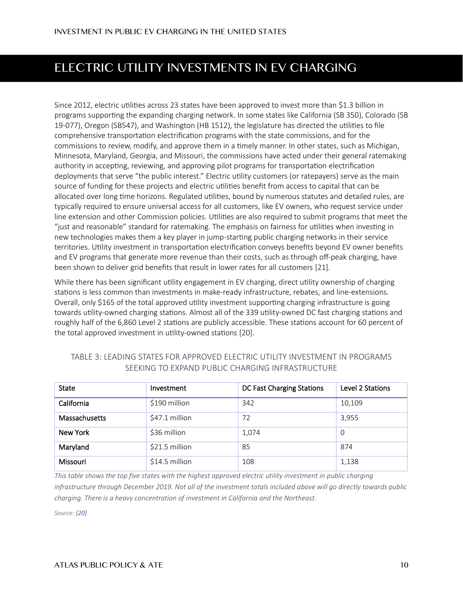# ELECTRIC UTILITY INVESTMENTS IN EV CHARGING

Since 2012, electric utilities across 23 states have been approved to invest more than \$1.3 billion in programs supporting the expanding charging network. In some states like California (SB 350), Colorado (SB 19-077), Oregon (SB547), and Washington (HB 1512), the legislature has directed the utilities to file comprehensive transportation electrification programs with the state commissions, and for the commissions to review, modify, and approve them in a timely manner. In other states, such as Michigan, Minnesota, Maryland, Georgia, and Missouri, the commissions have acted under their general ratemaking authority in accepting, reviewing, and approving pilot programs for transportation electrification deployments that serve "the public interest." Electric utility customers (or ratepayers) serve as the main source of funding for these projects and electric utilities benefit from access to capital that can be allocated over long time horizons. Regulated utilities, bound by numerous statutes and detailed rules, are typically required to ensure universal access for all customers, like EV owners, who request service under line extension and other Commission policies. Utilities are also required to submit programs that meet the "just and reasonable" standard for ratemaking. The emphasis on fairness for utilities when investing in new technologies makes them a key player in jump-starting public charging networks in their service territories. Utility investment in transportation electrification conveys benefits beyond EV owner benefits and EV programs that generate more revenue than their costs, such as through off-peak charging, have been shown to deliver grid benefits that result in lower rates for all customers [21].

While there has been significant utility engagement in EV charging, direct utility ownership of charging stations is less common than investments in make-ready infrastructure, rebates, and line-extensions. Overall, only \$165 of the total approved utility investment supporting charging infrastructure is going towards utility-owned charging stations. Almost all of the 339 utility-owned DC fast charging stations and roughly half of the 6,860 Level 2 stations are publicly accessible. These stations account for 60 percent of the total approved investment in utility-owned stations [20].

| <b>State</b>  | Investment     | DC Fast Charging Stations | Level 2 Stations |
|---------------|----------------|---------------------------|------------------|
| California    | \$190 million  | 342                       | 10,109           |
| Massachusetts | \$47.1 million | 72                        | 3,955            |
| New York      | \$36 million   | 1,074                     | - 0              |
| Maryland      | \$21.5 million | 85                        | 874              |
| Missouri      | \$14.5 million | 108                       | 1,138            |

## <span id="page-9-0"></span>TABLE 3: LEADING STATES FOR APPROVED ELECTRIC UTILITY INVESTMENT IN PROGRAMS SEEKING TO EXPAND PUBLIC CHARGING INFRASTRUCTURE

*This table shows the top five states with the highest approved electric utility investment in public charging infrastructure through December 2019. Not all of the investment totals included above will go directly towards public charging. There is a heavy concentration of investment in California and the Northeast.*

*Source: [20]*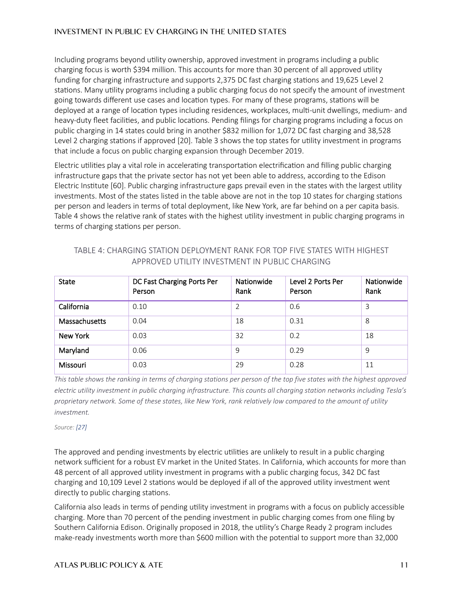Including programs beyond utility ownership, approved investment in programs including a public charging focus is worth \$394 million. This accounts for more than 30 percent of all approved utility funding for charging infrastructure and supports 2,375 DC fast charging stations and 19,625 Level 2 stations. Many utility programs including a public charging focus do not specify the amount of investment going towards different use cases and location types. For many of these programs, stations will be deployed at a range of location types including residences, workplaces, multi-unit dwellings, medium- and heavy-duty fleet facilities, and public locations. Pending filings for charging programs including a focus on public charging in 14 states could bring in another \$832 million for 1,072 DC fast charging and 38,528 Level 2 charging stations if approved [20]. [Table 3](#page-9-0) shows the top states for utility investment in programs that include a focus on public charging expansion through December 2019.

Electric utilities play a vital role in accelerating transportation electrification and filling public charging infrastructure gaps that the private sector has not yet been able to address, according to the Edison Electric Institute [60]. Public charging infrastructure gaps prevail even in the states with the largest utility investments. Most of the states listed in the table above are not in the top 10 states for charging stations per person and leaders in terms of total deployment, like New York, are far behind on a per capita basis. [Table 4](#page-10-0) shows the relative rank of states with the highest utility investment in public charging programs in terms of charging stations per person.

| <b>State</b>  | DC Fast Charging Ports Per<br>Person | Nationwide<br>Rank | Level 2 Ports Per<br>Person | Nationwide<br>Rank |
|---------------|--------------------------------------|--------------------|-----------------------------|--------------------|
| California    | 0.10                                 | 2                  | 0.6                         | 3                  |
| Massachusetts | 0.04                                 | 18                 | 0.31                        | 8                  |
| New York      | 0.03                                 | 32                 | 0.2                         | 18                 |
| Maryland      | 0.06                                 | 9                  | 0.29                        | 9                  |
| Missouri      | 0.03                                 | 29                 | 0.28                        | 11                 |

## <span id="page-10-0"></span>TABLE 4: CHARGING STATION DEPLOYMENT RANK FOR TOP FIVE STATES WITH HIGHEST APPROVED UTILITY INVESTMENT IN PUBLIC CHARGING

*This table shows the ranking in terms of charging stations per person of the top five states with the highest approved electric utility investment in public charging infrastructure. This counts all charging station networks including Tesla's proprietary network. Some of these states, like New York, rank relatively low compared to the amount of utility investment.*

*Source: [27]*

The approved and pending investments by electric utilities are unlikely to result in a public charging network sufficient for a robust EV market in the United States. In California, which accounts for more than 48 percent of all approved utility investment in programs with a public charging focus, 342 DC fast charging and 10,109 Level 2 stations would be deployed if all of the approved utility investment went directly to public charging stations.

California also leads in terms of pending utility investment in programs with a focus on publicly accessible charging. More than 70 percent of the pending investment in public charging comes from one filing by Southern California Edison. Originally proposed in 2018, the utility's Charge Ready 2 program includes make-ready investments worth more than \$600 million with the potential to support more than 32,000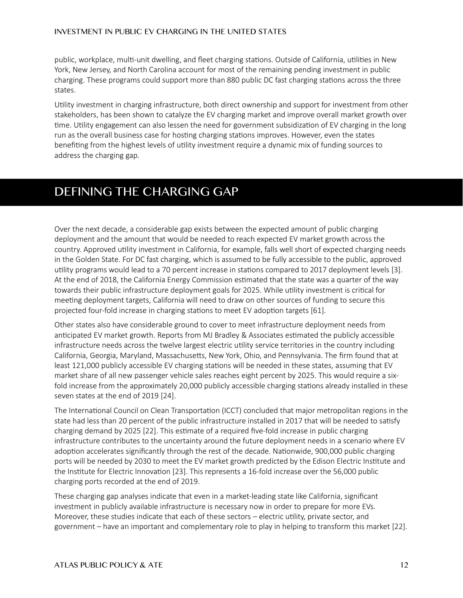public, workplace, multi-unit dwelling, and fleet charging stations. Outside of California, utilities in New York, New Jersey, and North Carolina account for most of the remaining pending investment in public charging. These programs could support more than 880 public DC fast charging stations across the three states.

Utility investment in charging infrastructure, both direct ownership and support for investment from other stakeholders, has been shown to catalyze the EV charging market and improve overall market growth over time. Utility engagement can also lessen the need for government subsidization of EV charging in the long run as the overall business case for hosting charging stations improves. However, even the states benefiting from the highest levels of utility investment require a dynamic mix of funding sources to address the charging gap.

## **DEFINING THE CHARGING GAP**

Over the next decade, a considerable gap exists between the expected amount of public charging deployment and the amount that would be needed to reach expected EV market growth across the country. Approved utility investment in California, for example, falls well short of expected charging needs in the Golden State. For DC fast charging, which is assumed to be fully accessible to the public, approved utility programs would lead to a 70 percent increase in stations compared to 2017 deployment levels [3]. At the end of 2018, the California Energy Commission estimated that the state was a quarter of the way towards their public infrastructure deployment goals for 2025. While utility investment is critical for meeting deployment targets, California will need to draw on other sources of funding to secure this projected four-fold increase in charging stations to meet EV adoption targets [61].

Other states also have considerable ground to cover to meet infrastructure deployment needs from anticipated EV market growth. Reports from MJ Bradley & Associates estimated the publicly accessible infrastructure needs across the twelve largest electric utility service territories in the country including California, Georgia, Maryland, Massachusetts, New York, Ohio, and Pennsylvania. The firm found that at least 121,000 publicly accessible EV charging stations will be needed in these states, assuming that EV market share of all new passenger vehicle sales reaches eight percent by 2025. This would require a sixfold increase from the approximately 20,000 publicly accessible charging stations already installed in these seven states at the end of 2019 [24].

The International Council on Clean Transportation (ICCT) concluded that major metropolitan regions in the state had less than 20 percent of the public infrastructure installed in 2017 that will be needed to satisfy charging demand by 2025 [22]. This estimate of a required five-fold increase in public charging infrastructure contributes to the uncertainty around the future deployment needs in a scenario where EV adoption accelerates significantly through the rest of the decade. Nationwide, 900,000 public charging ports will be needed by 2030 to meet the EV market growth predicted by the Edison Electric Institute and the Institute for Electric Innovation [23]. This represents a 16-fold increase over the 56,000 public charging ports recorded at the end of 2019.

These charging gap analyses indicate that even in a market-leading state like California, significant investment in publicly available infrastructure is necessary now in order to prepare for more EVs. Moreover, these studies indicate that each of these sectors – electric utility, private sector, and government – have an important and complementary role to play in helping to transform this market [22].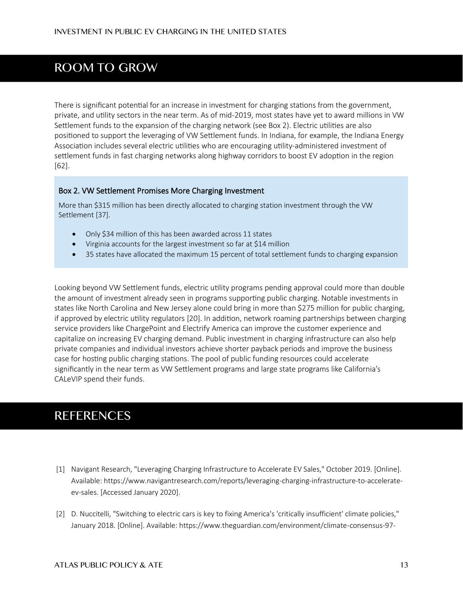# **ROOM TO GROW**

There is significant potential for an increase in investment for charging stations from the government, private, and utility sectors in the near term. As of mid-2019, most states have yet to award millions in VW Settlement funds to the expansion of the charging network (see Box 2). Electric utilities are also positioned to support the leveraging of VW Settlement funds. In Indiana, for example, the Indiana Energy Association includes several electric utilities who are encouraging utility-administered investment of settlement funds in fast charging networks along highway corridors to boost EV adoption in the region [62].

#### Box 2. VW Settlement Promises More Charging Investment

More than \$315 million has been directly allocated to charging station investment through the VW Settlement [37].

- Only \$34 million of this has been awarded across 11 states
- Virginia accounts for the largest investment so far at \$14 million
- 35 states have allocated the maximum 15 percent of total settlement funds to charging expansion

Looking beyond VW Settlement funds, electric utility programs pending approval could more than double the amount of investment already seen in programs supporting public charging. Notable investments in states like North Carolina and New Jersey alone could bring in more than \$275 million for public charging, if approved by electric utility regulators [20]. In addition, network roaming partnerships between charging service providers like ChargePoint and Electrify America can improve the customer experience and capitalize on increasing EV charging demand. Public investment in charging infrastructure can also help private companies and individual investors achieve shorter payback periods and improve the business case for hosting public charging stations. The pool of public funding resources could accelerate significantly in the near term as VW Settlement programs and large state programs like California's CALeVIP spend their funds.

## **REFERENCES**

- [1] Navigant Research, "Leveraging Charging Infrastructure to Accelerate EV Sales," October 2019. [Online]. Available: https://www.navigantresearch.com/reports/leveraging-charging-infrastructure-to-accelerateev-sales. [Accessed January 2020].
- [2] D. Nuccitelli, "Switching to electric cars is key to fixing America's 'critically insufficient' climate policies," January 2018. [Online]. Available: https://www.theguardian.com/environment/climate-consensus-97-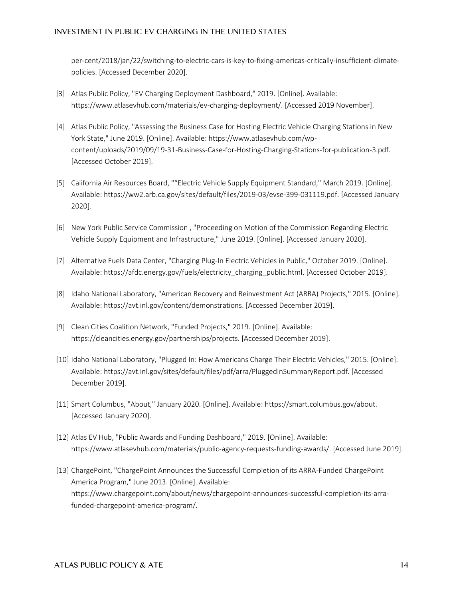per-cent/2018/jan/22/switching-to-electric-cars-is-key-to-fixing-americas-critically-insufficient-climatepolicies. [Accessed December 2020].

- [3] Atlas Public Policy, "EV Charging Deployment Dashboard," 2019. [Online]. Available: https://www.atlasevhub.com/materials/ev-charging-deployment/. [Accessed 2019 November].
- [4] Atlas Public Policy, "Assessing the Business Case for Hosting Electric Vehicle Charging Stations in New York State," June 2019. [Online]. Available: https://www.atlasevhub.com/wpcontent/uploads/2019/09/19-31-Business-Case-for-Hosting-Charging-Stations-for-publication-3.pdf. [Accessed October 2019].
- [5] California Air Resources Board, ""Electric Vehicle Supply Equipment Standard," March 2019. [Online]. Available: https://ww2.arb.ca.gov/sites/default/files/2019-03/evse-399-031119.pdf. [Accessed January 2020].
- [6] New York Public Service Commission , "Proceeding on Motion of the Commission Regarding Electric Vehicle Supply Equipment and Infrastructure," June 2019. [Online]. [Accessed January 2020].
- [7] Alternative Fuels Data Center, "Charging Plug-In Electric Vehicles in Public," October 2019. [Online]. Available: https://afdc.energy.gov/fuels/electricity\_charging\_public.html. [Accessed October 2019].
- [8] Idaho National Laboratory, "American Recovery and Reinvestment Act (ARRA) Projects," 2015. [Online]. Available: https://avt.inl.gov/content/demonstrations. [Accessed December 2019].
- [9] Clean Cities Coalition Network, "Funded Projects," 2019. [Online]. Available: https://cleancities.energy.gov/partnerships/projects. [Accessed December 2019].
- [10] Idaho National Laboratory, "Plugged In: How Americans Charge Their Electric Vehicles," 2015. [Online]. Available: https://avt.inl.gov/sites/default/files/pdf/arra/PluggedInSummaryReport.pdf. [Accessed December 2019].
- [11] Smart Columbus, "About," January 2020. [Online]. Available: https://smart.columbus.gov/about. [Accessed January 2020].
- [12] Atlas EV Hub, "Public Awards and Funding Dashboard," 2019. [Online]. Available: https://www.atlasevhub.com/materials/public-agency-requests-funding-awards/. [Accessed June 2019].
- [13] ChargePoint, "ChargePoint Announces the Successful Completion of its ARRA-Funded ChargePoint America Program," June 2013. [Online]. Available: https://www.chargepoint.com/about/news/chargepoint-announces-successful-completion-its-arrafunded-chargepoint-america-program/.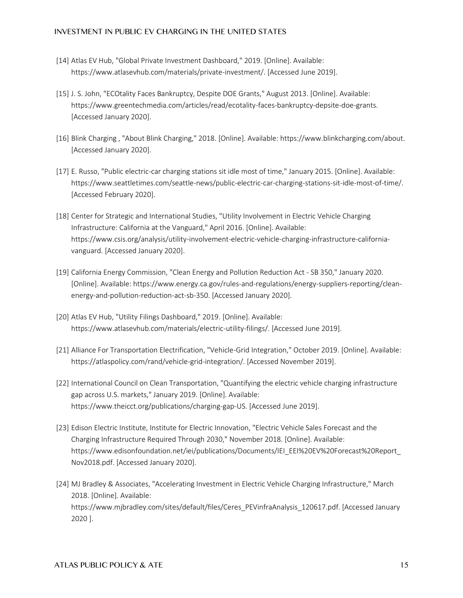- [14] Atlas EV Hub, "Global Private Investment Dashboard," 2019. [Online]. Available: https://www.atlasevhub.com/materials/private-investment/. [Accessed June 2019].
- [15] J. S. John, "ECOtality Faces Bankruptcy, Despite DOE Grants," August 2013. [Online]. Available: https://www.greentechmedia.com/articles/read/ecotality-faces-bankruptcy-depsite-doe-grants. [Accessed January 2020].
- [16] Blink Charging , "About Blink Charging," 2018. [Online]. Available: https://www.blinkcharging.com/about. [Accessed January 2020].
- [17] E. Russo, "Public electric-car charging stations sit idle most of time," January 2015. [Online]. Available: https://www.seattletimes.com/seattle-news/public-electric-car-charging-stations-sit-idle-most-of-time/. [Accessed February 2020].
- [18] Center for Strategic and International Studies, "Utility Involvement in Electric Vehicle Charging Infrastructure: California at the Vanguard," April 2016. [Online]. Available: https://www.csis.org/analysis/utility-involvement-electric-vehicle-charging-infrastructure-californiavanguard. [Accessed January 2020].
- [19] California Energy Commission, "Clean Energy and Pollution Reduction Act SB 350," January 2020. [Online]. Available: https://www.energy.ca.gov/rules-and-regulations/energy-suppliers-reporting/cleanenergy-and-pollution-reduction-act-sb-350. [Accessed January 2020].
- [20] Atlas EV Hub, "Utility Filings Dashboard," 2019. [Online]. Available: https://www.atlasevhub.com/materials/electric-utility-filings/. [Accessed June 2019].
- [21] Alliance For Transportation Electrification, "Vehicle-Grid Integration," October 2019. [Online]. Available: https://atlaspolicy.com/rand/vehicle-grid-integration/. [Accessed November 2019].
- [22] International Council on Clean Transportation, "Quantifying the electric vehicle charging infrastructure gap across U.S. markets," January 2019. [Online]. Available: https://www.theicct.org/publications/charging-gap-US. [Accessed June 2019].
- [23] Edison Electric Institute, Institute for Electric Innovation, "Electric Vehicle Sales Forecast and the Charging Infrastructure Required Through 2030," November 2018. [Online]. Available: https://www.edisonfoundation.net/iei/publications/Documents/IEI\_EEI%20EV%20Forecast%20Report\_ Nov2018.pdf. [Accessed January 2020].
- [24] MJ Bradley & Associates, "Accelerating Investment in Electric Vehicle Charging Infrastructure," March 2018. [Online]. Available: https://www.mjbradley.com/sites/default/files/Ceres\_PEVinfraAnalysis\_120617.pdf. [Accessed January 2020 ].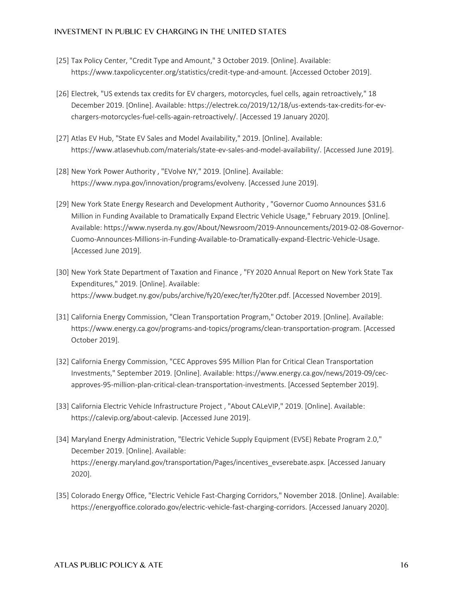- [25] Tax Policy Center, "Credit Type and Amount," 3 October 2019. [Online]. Available: https://www.taxpolicycenter.org/statistics/credit-type-and-amount. [Accessed October 2019].
- [26] Electrek, "US extends tax credits for EV chargers, motorcycles, fuel cells, again retroactively," 18 December 2019. [Online]. Available: https://electrek.co/2019/12/18/us-extends-tax-credits-for-evchargers-motorcycles-fuel-cells-again-retroactively/. [Accessed 19 January 2020].
- [27] Atlas EV Hub, "State EV Sales and Model Availability," 2019. [Online]. Available: https://www.atlasevhub.com/materials/state-ev-sales-and-model-availability/. [Accessed June 2019].
- [28] New York Power Authority, "EVolve NY," 2019. [Online]. Available: https://www.nypa.gov/innovation/programs/evolveny. [Accessed June 2019].
- [29] New York State Energy Research and Development Authority , "Governor Cuomo Announces \$31.6 Million in Funding Available to Dramatically Expand Electric Vehicle Usage," February 2019. [Online]. Available: https://www.nyserda.ny.gov/About/Newsroom/2019-Announcements/2019-02-08-Governor-Cuomo-Announces-Millions-in-Funding-Available-to-Dramatically-expand-Electric-Vehicle-Usage. [Accessed June 2019].
- [30] New York State Department of Taxation and Finance , "FY 2020 Annual Report on New York State Tax Expenditures," 2019. [Online]. Available: https://www.budget.ny.gov/pubs/archive/fy20/exec/ter/fy20ter.pdf. [Accessed November 2019].
- [31] California Energy Commission, "Clean Transportation Program," October 2019. [Online]. Available: https://www.energy.ca.gov/programs-and-topics/programs/clean-transportation-program. [Accessed October 2019].
- [32] California Energy Commission, "CEC Approves \$95 Million Plan for Critical Clean Transportation Investments," September 2019. [Online]. Available: https://www.energy.ca.gov/news/2019-09/cecapproves-95-million-plan-critical-clean-transportation-investments. [Accessed September 2019].
- [33] California Electric Vehicle Infrastructure Project , "About CALeVIP," 2019. [Online]. Available: https://calevip.org/about-calevip. [Accessed June 2019].
- [34] Maryland Energy Administration, "Electric Vehicle Supply Equipment (EVSE) Rebate Program 2.0," December 2019. [Online]. Available: https://energy.maryland.gov/transportation/Pages/incentives\_evserebate.aspx. [Accessed January 2020].
- [35] Colorado Energy Office, "Electric Vehicle Fast-Charging Corridors," November 2018. [Online]. Available: https://energyoffice.colorado.gov/electric-vehicle-fast-charging-corridors. [Accessed January 2020].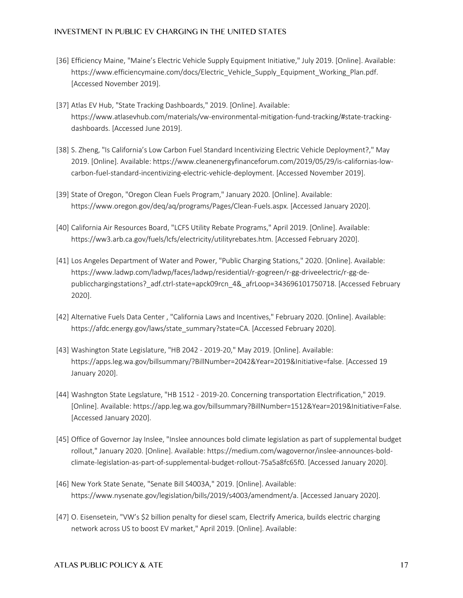- [36] Efficiency Maine, "Maine's Electric Vehicle Supply Equipment Initiative," July 2019. [Online]. Available: https://www.efficiencymaine.com/docs/Electric\_Vehicle\_Supply\_Equipment\_Working\_Plan.pdf. [Accessed November 2019].
- [37] Atlas EV Hub, "State Tracking Dashboards," 2019. [Online]. Available: https://www.atlasevhub.com/materials/vw-environmental-mitigation-fund-tracking/#state-trackingdashboards. [Accessed June 2019].
- [38] S. Zheng, "Is California's Low Carbon Fuel Standard Incentivizing Electric Vehicle Deployment?," May 2019. [Online]. Available: https://www.cleanenergyfinanceforum.com/2019/05/29/is-californias-lowcarbon-fuel-standard-incentivizing-electric-vehicle-deployment. [Accessed November 2019].
- [39] State of Oregon, "Oregon Clean Fuels Program," January 2020. [Online]. Available: https://www.oregon.gov/deq/aq/programs/Pages/Clean-Fuels.aspx. [Accessed January 2020].
- [40] California Air Resources Board, "LCFS Utility Rebate Programs," April 2019. [Online]. Available: https://ww3.arb.ca.gov/fuels/lcfs/electricity/utilityrebates.htm. [Accessed February 2020].
- [41] Los Angeles Department of Water and Power, "Public Charging Stations," 2020. [Online]. Available: https://www.ladwp.com/ladwp/faces/ladwp/residential/r-gogreen/r-gg-driveelectric/r-gg-depublicchargingstations? adf.ctrl-state=apck09rcn\_4&\_afrLoop=343696101750718. [Accessed February 2020].
- [42] Alternative Fuels Data Center , "California Laws and Incentives," February 2020. [Online]. Available: https://afdc.energy.gov/laws/state\_summary?state=CA. [Accessed February 2020].
- [43] Washington State Legislature, "HB 2042 2019-20," May 2019. [Online]. Available: https://apps.leg.wa.gov/billsummary/?BillNumber=2042&Year=2019&Initiative=false. [Accessed 19 January 2020].
- [44] Washngton State Legslature, "HB 1512 2019-20. Concerning transportation Electrification," 2019. [Online]. Available: https://app.leg.wa.gov/billsummary?BillNumber=1512&Year=2019&Initiative=False. [Accessed January 2020].
- [45] Office of Governor Jay Inslee, "Inslee announces bold climate legislation as part of supplemental budget rollout," January 2020. [Online]. Available: https://medium.com/wagovernor/inslee-announces-boldclimate-legislation-as-part-of-supplemental-budget-rollout-75a5a8fc65f0. [Accessed January 2020].
- [46] New York State Senate, "Senate Bill S4003A," 2019. [Online]. Available: https://www.nysenate.gov/legislation/bills/2019/s4003/amendment/a. [Accessed January 2020].
- [47] O. Eisensetein, "VW's \$2 billion penalty for diesel scam, Electrify America, builds electric charging network across US to boost EV market," April 2019. [Online]. Available: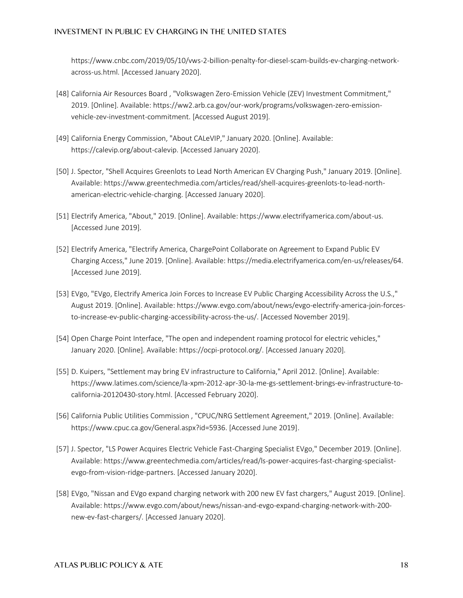https://www.cnbc.com/2019/05/10/vws-2-billion-penalty-for-diesel-scam-builds-ev-charging-networkacross-us.html. [Accessed January 2020].

- [48] California Air Resources Board , "Volkswagen Zero-Emission Vehicle (ZEV) Investment Commitment," 2019. [Online]. Available: https://ww2.arb.ca.gov/our-work/programs/volkswagen-zero-emissionvehicle-zev-investment-commitment. [Accessed August 2019].
- [49] California Energy Commission, "About CALeVIP," January 2020. [Online]. Available: https://calevip.org/about-calevip. [Accessed January 2020].
- [50] J. Spector, "Shell Acquires Greenlots to Lead North American EV Charging Push," January 2019. [Online]. Available: https://www.greentechmedia.com/articles/read/shell-acquires-greenlots-to-lead-northamerican-electric-vehicle-charging. [Accessed January 2020].
- [51] Electrify America, "About," 2019. [Online]. Available: https://www.electrifyamerica.com/about-us. [Accessed June 2019].
- [52] Electrify America, "Electrify America, ChargePoint Collaborate on Agreement to Expand Public EV Charging Access," June 2019. [Online]. Available: https://media.electrifyamerica.com/en-us/releases/64. [Accessed June 2019].
- [53] EVgo, "EVgo, Electrify America Join Forces to Increase EV Public Charging Accessibility Across the U.S.," August 2019. [Online]. Available: https://www.evgo.com/about/news/evgo-electrify-america-join-forcesto-increase-ev-public-charging-accessibility-across-the-us/. [Accessed November 2019].
- [54] Open Charge Point Interface, "The open and independent roaming protocol for electric vehicles," January 2020. [Online]. Available: https://ocpi-protocol.org/. [Accessed January 2020].
- [55] D. Kuipers, "Settlement may bring EV infrastructure to California," April 2012. [Online]. Available: https://www.latimes.com/science/la-xpm-2012-apr-30-la-me-gs-settlement-brings-ev-infrastructure-tocalifornia-20120430-story.html. [Accessed February 2020].
- [56] California Public Utilities Commission , "CPUC/NRG Settlement Agreement," 2019. [Online]. Available: https://www.cpuc.ca.gov/General.aspx?id=5936. [Accessed June 2019].
- [57] J. Spector, "LS Power Acquires Electric Vehicle Fast-Charging Specialist EVgo," December 2019. [Online]. Available: https://www.greentechmedia.com/articles/read/ls-power-acquires-fast-charging-specialistevgo-from-vision-ridge-partners. [Accessed January 2020].
- [58] EVgo, "Nissan and EVgo expand charging network with 200 new EV fast chargers," August 2019. [Online]. Available: https://www.evgo.com/about/news/nissan-and-evgo-expand-charging-network-with-200 new-ev-fast-chargers/. [Accessed January 2020].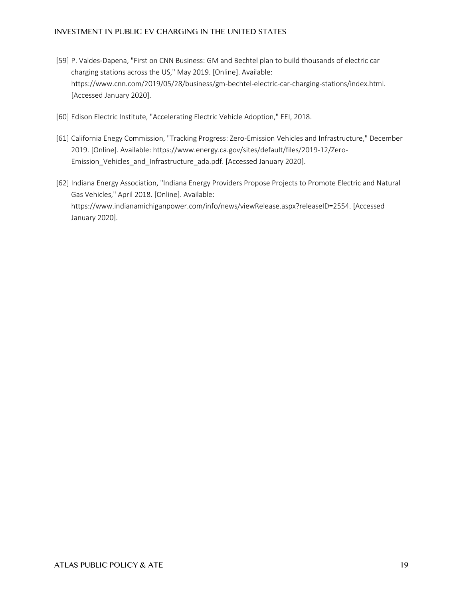- [59] P. Valdes-Dapena, "First on CNN Business: GM and Bechtel plan to build thousands of electric car charging stations across the US," May 2019. [Online]. Available: https://www.cnn.com/2019/05/28/business/gm-bechtel-electric-car-charging-stations/index.html. [Accessed January 2020].
- [60] Edison Electric Institute, "Accelerating Electric Vehicle Adoption," EEI, 2018.
- [61] California Enegy Commission, "Tracking Progress: Zero-Emission Vehicles and Infrastructure," December 2019. [Online]. Available: https://www.energy.ca.gov/sites/default/files/2019-12/Zero-Emission\_Vehicles\_and\_Infrastructure\_ada.pdf. [Accessed January 2020].
- [62] Indiana Energy Association, "Indiana Energy Providers Propose Projects to Promote Electric and Natural Gas Vehicles," April 2018. [Online]. Available: https://www.indianamichiganpower.com/info/news/viewRelease.aspx?releaseID=2554. [Accessed January 2020].